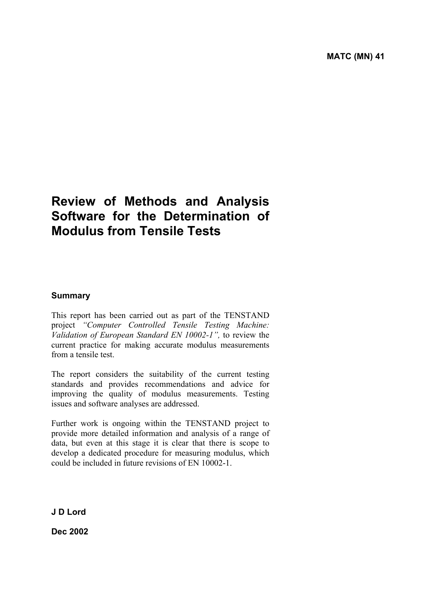# **Review of Methods and Analysis Software for the Determination of Modulus from Tensile Tests**

# **Summary**

This report has been carried out as part of the TENSTAND project *"Computer Controlled Tensile Testing Machine: Validation of European Standard EN 10002-1",* to review the current practice for making accurate modulus measurements from a tensile test.

The report considers the suitability of the current testing standards and provides recommendations and advice for improving the quality of modulus measurements. Testing issues and software analyses are addressed.

Further work is ongoing within the TENSTAND project to provide more detailed information and analysis of a range of data, but even at this stage it is clear that there is scope to develop a dedicated procedure for measuring modulus, which could be included in future revisions of EN 10002-1.

**J D Lord** 

**Dec 2002**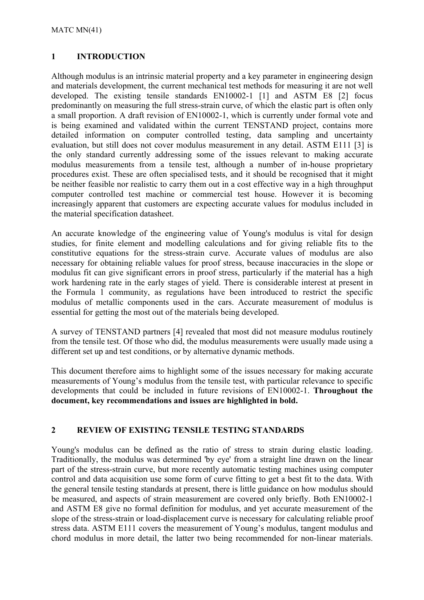# **1 INTRODUCTION**

Although modulus is an intrinsic material property and a key parameter in engineering design and materials development, the current mechanical test methods for measuring it are not well developed. The existing tensile standards EN10002-1 [1] and ASTM E8 [2] focus predominantly on measuring the full stress-strain curve, of which the elastic part is often only a small proportion. A draft revision of EN10002-1, which is currently under formal vote and is being examined and validated within the current TENSTAND project, contains more detailed information on computer controlled testing, data sampling and uncertainty evaluation, but still does not cover modulus measurement in any detail. ASTM E111 [3] is the only standard currently addressing some of the issues relevant to making accurate modulus measurements from a tensile test, although a number of in-house proprietary procedures exist. These are often specialised tests, and it should be recognised that it might be neither feasible nor realistic to carry them out in a cost effective way in a high throughput computer controlled test machine or commercial test house. However it is becoming increasingly apparent that customers are expecting accurate values for modulus included in the material specification datasheet.

An accurate knowledge of the engineering value of Young's modulus is vital for design studies, for finite element and modelling calculations and for giving reliable fits to the constitutive equations for the stress-strain curve. Accurate values of modulus are also necessary for obtaining reliable values for proof stress, because inaccuracies in the slope or modulus fit can give significant errors in proof stress, particularly if the material has a high work hardening rate in the early stages of yield. There is considerable interest at present in the Formula 1 community, as regulations have been introduced to restrict the specific modulus of metallic components used in the cars. Accurate measurement of modulus is essential for getting the most out of the materials being developed.

A survey of TENSTAND partners [4] revealed that most did not measure modulus routinely from the tensile test. Of those who did, the modulus measurements were usually made using a different set up and test conditions, or by alternative dynamic methods.

This document therefore aims to highlight some of the issues necessary for making accurate measurements of Young's modulus from the tensile test, with particular relevance to specific developments that could be included in future revisions of EN10002-1. **Throughout the document, key recommendations and issues are highlighted in bold.** 

## **2 REVIEW OF EXISTING TENSILE TESTING STANDARDS**

Young's modulus can be defined as the ratio of stress to strain during elastic loading. Traditionally, the modulus was determined 'by eye' from a straight line drawn on the linear part of the stress-strain curve, but more recently automatic testing machines using computer control and data acquisition use some form of curve fitting to get a best fit to the data. With the general tensile testing standards at present, there is little guidance on how modulus should be measured, and aspects of strain measurement are covered only briefly. Both EN10002-1 and ASTM E8 give no formal definition for modulus, and yet accurate measurement of the slope of the stress-strain or load-displacement curve is necessary for calculating reliable proof stress data. ASTM E111 covers the measurement of Young's modulus, tangent modulus and chord modulus in more detail, the latter two being recommended for non-linear materials.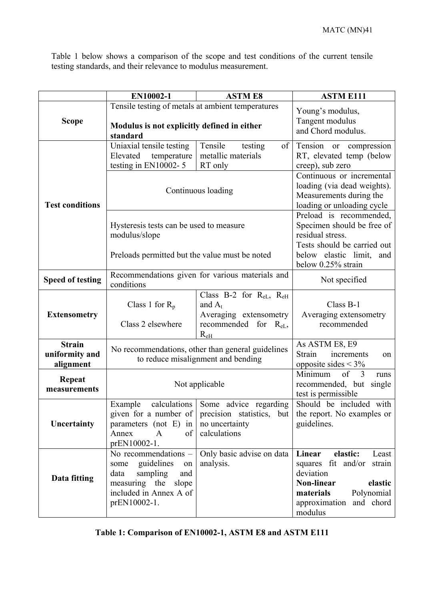Table 1 below shows a comparison of the scope and test conditions of the current tensile testing standards, and their relevance to modulus measurement.

|                                              | EN10002-1                                                                                                                                       | <b>ASTM E8</b>                                                                                                          | <b>ASTM E111</b>                                                                                                                                                             |
|----------------------------------------------|-------------------------------------------------------------------------------------------------------------------------------------------------|-------------------------------------------------------------------------------------------------------------------------|------------------------------------------------------------------------------------------------------------------------------------------------------------------------------|
| <b>Scope</b>                                 | Tensile testing of metals at ambient temperatures<br>Modulus is not explicitly defined in either<br>standard                                    | Young's modulus,<br>Tangent modulus<br>and Chord modulus.                                                               |                                                                                                                                                                              |
|                                              | Uniaxial tensile testing<br>Elevated<br>temperature<br>testing in EN10002-5                                                                     | Tensile<br>of<br>testing<br>metallic materials<br>RT only                                                               | Tension or compression<br>RT, elevated temp (below<br>creep), sub zero                                                                                                       |
| <b>Test conditions</b>                       | Continuous loading                                                                                                                              |                                                                                                                         | Continuous or incremental<br>loading (via dead weights).<br>Measurements during the<br>loading or unloading cycle                                                            |
|                                              | Hysteresis tests can be used to measure<br>modulus/slope<br>Preloads permitted but the value must be noted                                      |                                                                                                                         | Preload is recommended,<br>Specimen should be free of<br>residual stress.<br>Tests should be carried out<br>below elastic limit,<br>and<br>below 0.25% strain                |
| <b>Speed of testing</b>                      | Recommendations given for various materials and<br>conditions                                                                                   |                                                                                                                         | Not specified                                                                                                                                                                |
| <b>Extensometry</b>                          | Class 1 for $R_p$<br>Class 2 elsewhere                                                                                                          | Class B-2 for $R_{eL}$ , $R_{eH}$<br>and $A_t$<br>Averaging extensometry<br>recommended for $R_{eL}$ ,<br>$R_{eH}$      | Class B-1<br>Averaging extensometry<br>recommended                                                                                                                           |
| <b>Strain</b><br>uniformity and<br>alignment | No recommendations, other than general guidelines<br>to reduce misalignment and bending                                                         |                                                                                                                         | As ASTM E8, E9<br>Strain<br>increments<br>on<br>opposite sides $<$ 3%                                                                                                        |
| Repeat<br>measurements                       | Not applicable                                                                                                                                  |                                                                                                                         | $\overline{\text{of}}$<br>Minimum<br>$\overline{3}$<br>runs<br>recommended, but single<br>test is permissible                                                                |
| Uncertainty                                  | Example<br>parameters (not E) in<br>of<br>Annex<br>$\mathbf{A}$<br>prEN10002-1.                                                                 | calculations Some advice regarding<br>given for a number of precision statistics, but<br>no uncertainty<br>calculations | Should be included with<br>the report. No examples or<br>guidelines.                                                                                                         |
| Data fitting                                 | No recommendations -<br>guidelines<br>some<br>on<br>sampling<br>and<br>data<br>measuring the<br>slope<br>included in Annex A of<br>prEN10002-1. | Only basic advise on data<br>analysis.                                                                                  | Linear<br>elastic:<br>Least<br>squares fit and/or<br>strain<br>deviation<br><b>Non-linear</b><br>elastic<br>Polynomial<br>materials<br>approximation<br>and chord<br>modulus |

| Table 1: Comparison of EN10002-1, ASTM E8 and ASTM E111 |
|---------------------------------------------------------|
|---------------------------------------------------------|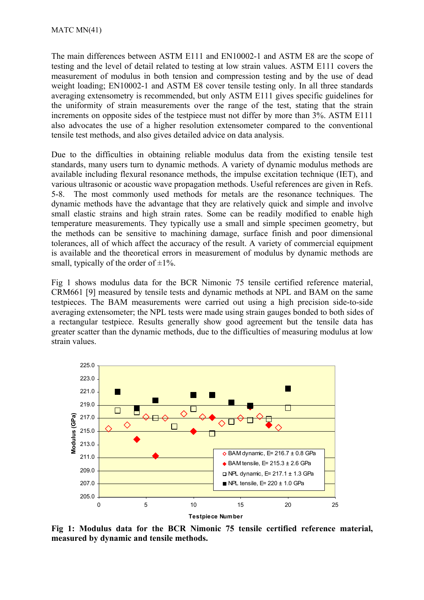The main differences between ASTM E111 and EN10002-1 and ASTM E8 are the scope of testing and the level of detail related to testing at low strain values. ASTM E111 covers the measurement of modulus in both tension and compression testing and by the use of dead weight loading; EN10002-1 and ASTM E8 cover tensile testing only. In all three standards averaging extensometry is recommended, but only ASTM E111 gives specific guidelines for the uniformity of strain measurements over the range of the test, stating that the strain increments on opposite sides of the testpiece must not differ by more than 3%. ASTM E111 also advocates the use of a higher resolution extensometer compared to the conventional tensile test methods, and also gives detailed advice on data analysis.

Due to the difficulties in obtaining reliable modulus data from the existing tensile test standards, many users turn to dynamic methods. A variety of dynamic modulus methods are available including flexural resonance methods, the impulse excitation technique (IET), and various ultrasonic or acoustic wave propagation methods. Useful references are given in Refs. 5-8. The most commonly used methods for metals are the resonance techniques. The dynamic methods have the advantage that they are relatively quick and simple and involve small elastic strains and high strain rates. Some can be readily modified to enable high temperature measurements. They typically use a small and simple specimen geometry, but the methods can be sensitive to machining damage, surface finish and poor dimensional tolerances, all of which affect the accuracy of the result. A variety of commercial equipment is available and the theoretical errors in measurement of modulus by dynamic methods are small, typically of the order of  $\pm 1\%$ .

Fig 1 shows modulus data for the BCR Nimonic 75 tensile certified reference material, CRM661 [9] measured by tensile tests and dynamic methods at NPL and BAM on the same testpieces. The BAM measurements were carried out using a high precision side-to-side averaging extensometer; the NPL tests were made using strain gauges bonded to both sides of a rectangular testpiece. Results generally show good agreement but the tensile data has greater scatter than the dynamic methods, due to the difficulties of measuring modulus at low strain values.



**Fig 1: Modulus data for the BCR Nimonic 75 tensile certified reference material, measured by dynamic and tensile methods.**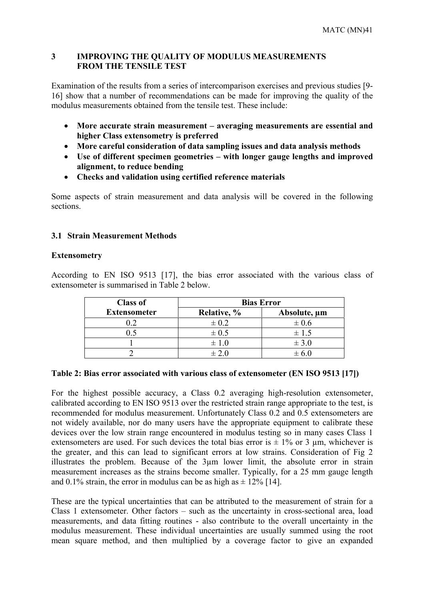### **3 IMPROVING THE QUALITY OF MODULUS MEASUREMENTS FROM THE TENSILE TEST**

Examination of the results from a series of intercomparison exercises and previous studies [9- 16] show that a number of recommendations can be made for improving the quality of the modulus measurements obtained from the tensile test. These include:

- **More accurate strain measurement averaging measurements are essential and higher Class extensometry is preferred**
- **More careful consideration of data sampling issues and data analysis methods**
- **Use of different specimen geometries with longer gauge lengths and improved alignment, to reduce bending**
- **Checks and validation using certified reference materials**

Some aspects of strain measurement and data analysis will be covered in the following sections.

## **3.1 Strain Measurement Methods**

## **Extensometry**

According to EN ISO 9513 [17], the bias error associated with the various class of extensometer is summarised in Table 2 below.

| <b>Class of</b>     | <b>Bias Error</b> |              |
|---------------------|-------------------|--------------|
| <b>Extensometer</b> | Relative, %       | Absolute, µm |
| 0.2                 | $\pm 0.2$         | $\pm 0.6$    |
|                     | $\pm 0.5$         | $\pm$ 1.5    |
|                     | $\pm 1.0$         | $\pm$ 3.0    |
|                     | $+20$             |              |

#### **Table 2: Bias error associated with various class of extensometer (EN ISO 9513 [17])**

For the highest possible accuracy, a Class 0.2 averaging high-resolution extensometer, calibrated according to EN ISO 9513 over the restricted strain range appropriate to the test, is recommended for modulus measurement. Unfortunately Class 0.2 and 0.5 extensometers are not widely available, nor do many users have the appropriate equipment to calibrate these devices over the low strain range encountered in modulus testing so in many cases Class 1 extensometers are used. For such devices the total bias error is  $\pm$  1% or 3 µm, whichever is the greater, and this can lead to significant errors at low strains. Consideration of Fig 2 illustrates the problem. Because of the 3µm lower limit, the absolute error in strain measurement increases as the strains become smaller. Typically, for a 25 mm gauge length and 0.1% strain, the error in modulus can be as high as  $\pm$  12% [14].

These are the typical uncertainties that can be attributed to the measurement of strain for a Class 1 extensometer. Other factors – such as the uncertainty in cross-sectional area, load measurements, and data fitting routines - also contribute to the overall uncertainty in the modulus measurement. These individual uncertainties are usually summed using the root mean square method, and then multiplied by a coverage factor to give an expanded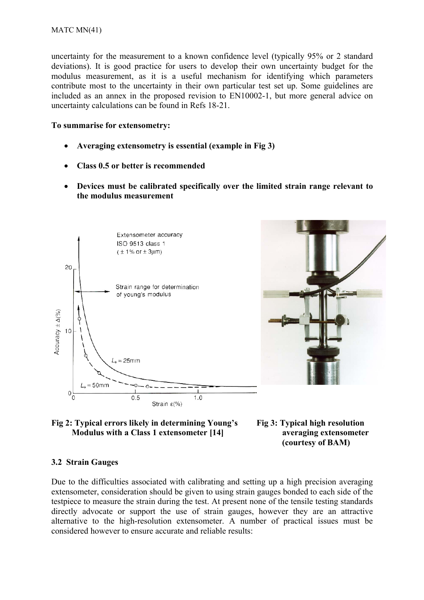uncertainty for the measurement to a known confidence level (typically 95% or 2 standard deviations). It is good practice for users to develop their own uncertainty budget for the modulus measurement, as it is a useful mechanism for identifying which parameters contribute most to the uncertainty in their own particular test set up. Some guidelines are included as an annex in the proposed revision to EN10002-1, but more general advice on uncertainty calculations can be found in Refs 18-21.

#### **To summarise for extensometry:**

- **Averaging extensometry is essential (example in Fig 3)**
- **Class 0.5 or better is recommended**
- **Devices must be calibrated specifically over the limited strain range relevant to the modulus measurement**







 **(courtesy of BAM)** 

#### **3.2 Strain Gauges**

Due to the difficulties associated with calibrating and setting up a high precision averaging extensometer, consideration should be given to using strain gauges bonded to each side of the testpiece to measure the strain during the test. At present none of the tensile testing standards directly advocate or support the use of strain gauges, however they are an attractive alternative to the high-resolution extensometer. A number of practical issues must be considered however to ensure accurate and reliable results: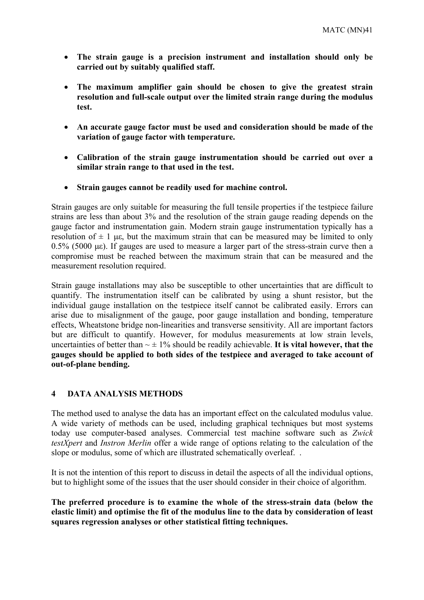- **The strain gauge is a precision instrument and installation should only be carried out by suitably qualified staff.**
- **The maximum amplifier gain should be chosen to give the greatest strain resolution and full-scale output over the limited strain range during the modulus test.**
- **An accurate gauge factor must be used and consideration should be made of the variation of gauge factor with temperature.**
- **Calibration of the strain gauge instrumentation should be carried out over a similar strain range to that used in the test.**
- **Strain gauges cannot be readily used for machine control.**

Strain gauges are only suitable for measuring the full tensile properties if the testpiece failure strains are less than about 3% and the resolution of the strain gauge reading depends on the gauge factor and instrumentation gain. Modern strain gauge instrumentation typically has a resolution of  $\pm$  1 µε, but the maximum strain that can be measured may be limited to only 0.5% (5000 µε). If gauges are used to measure a larger part of the stress-strain curve then a compromise must be reached between the maximum strain that can be measured and the measurement resolution required.

Strain gauge installations may also be susceptible to other uncertainties that are difficult to quantify. The instrumentation itself can be calibrated by using a shunt resistor, but the individual gauge installation on the testpiece itself cannot be calibrated easily. Errors can arise due to misalignment of the gauge, poor gauge installation and bonding, temperature effects, Wheatstone bridge non-linearities and transverse sensitivity. All are important factors but are difficult to quantify. However, for modulus measurements at low strain levels, uncertainties of better than  $\sim \pm 1\%$  should be readily achievable. It is vital however, that the **gauges should be applied to both sides of the testpiece and averaged to take account of out-of-plane bending.** 

#### **4 DATA ANALYSIS METHODS**

The method used to analyse the data has an important effect on the calculated modulus value. A wide variety of methods can be used, including graphical techniques but most systems today use computer-based analyses. Commercial test machine software such as *Zwick testXpert* and *Instron Merlin* offer a wide range of options relating to the calculation of the slope or modulus, some of which are illustrated schematically overleaf. .

It is not the intention of this report to discuss in detail the aspects of all the individual options, but to highlight some of the issues that the user should consider in their choice of algorithm.

**The preferred procedure is to examine the whole of the stress-strain data (below the elastic limit) and optimise the fit of the modulus line to the data by consideration of least squares regression analyses or other statistical fitting techniques.**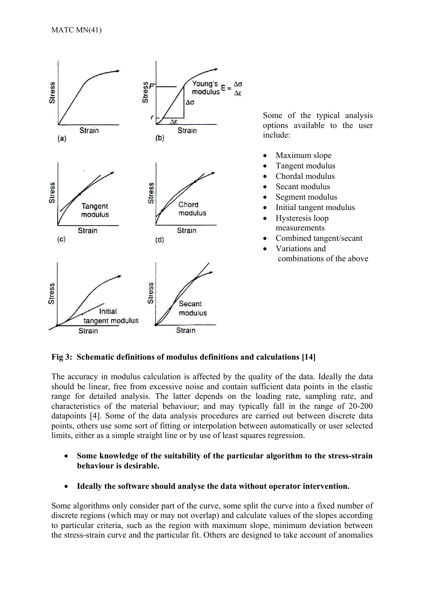

Some of the typical analysis options available to the user include:

- Maximum slope
- Tangent modulus
- Chordal modulus
- Secant modulus
- Segment modulus
- Initial tangent modulus
- Hysteresis loop measurements
- Combined tangent/secant
- Variations and combinations of the above

## **Fig 3: Schematic definitions of modulus definitions and calculations [14]**

The accuracy in modulus calculation is affected by the quality of the data. Ideally the data should be linear, free from excessive noise and contain sufficient data points in the elastic range for detailed analysis. The latter depends on the loading rate, sampling rate, and characteristics of the material behaviour; and may typically fall in the range of 20-200 datapoints [4]. Some of the data analysis procedures are carried out between discrete data points, others use some sort of fitting or interpolation between automatically or user selected limits, either as a simple straight line or by use of least squares regression.

- **Some knowledge of the suitability of the particular algorithm to the stress-strain behaviour is desirable.**
- **Ideally the software should analyse the data without operator intervention.**

Some algorithms only consider part of the curve, some split the curve into a fixed number of discrete regions (which may or may not overlap) and calculate values of the slopes according to particular criteria, such as the region with maximum slope, minimum deviation between the stress-strain curve and the particular fit. Others are designed to take account of anomalies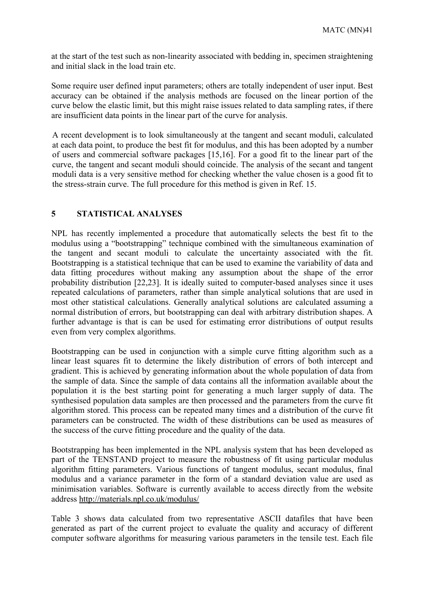at the start of the test such as non-linearity associated with bedding in, specimen straightening and initial slack in the load train etc.

Some require user defined input parameters; others are totally independent of user input. Best accuracy can be obtained if the analysis methods are focused on the linear portion of the curve below the elastic limit, but this might raise issues related to data sampling rates, if there are insufficient data points in the linear part of the curve for analysis.

A recent development is to look simultaneously at the tangent and secant moduli, calculated at each data point, to produce the best fit for modulus, and this has been adopted by a number of users and commercial software packages [15,16]. For a good fit to the linear part of the curve, the tangent and secant moduli should coincide. The analysis of the secant and tangent moduli data is a very sensitive method for checking whether the value chosen is a good fit to the stress-strain curve. The full procedure for this method is given in Ref. 15.

## **5 STATISTICAL ANALYSES**

NPL has recently implemented a procedure that automatically selects the best fit to the modulus using a "bootstrapping" technique combined with the simultaneous examination of the tangent and secant moduli to calculate the uncertainty associated with the fit. Bootstrapping is a statistical technique that can be used to examine the variability of data and data fitting procedures without making any assumption about the shape of the error probability distribution [22,23]. It is ideally suited to computer-based analyses since it uses repeated calculations of parameters, rather than simple analytical solutions that are used in most other statistical calculations. Generally analytical solutions are calculated assuming a normal distribution of errors, but bootstrapping can deal with arbitrary distribution shapes. A further advantage is that is can be used for estimating error distributions of output results even from very complex algorithms.

Bootstrapping can be used in conjunction with a simple curve fitting algorithm such as a linear least squares fit to determine the likely distribution of errors of both intercept and gradient. This is achieved by generating information about the whole population of data from the sample of data. Since the sample of data contains all the information available about the population it is the best starting point for generating a much larger supply of data. The synthesised population data samples are then processed and the parameters from the curve fit algorithm stored. This process can be repeated many times and a distribution of the curve fit parameters can be constructed. The width of these distributions can be used as measures of the success of the curve fitting procedure and the quality of the data.

Bootstrapping has been implemented in the NPL analysis system that has been developed as part of the TENSTAND project to measure the robustness of fit using particular modulus algorithm fitting parameters. Various functions of tangent modulus, secant modulus, final modulus and a variance parameter in the form of a standard deviation value are used as minimisation variables. Software is currently available to access directly from the website address http://materials.npl.co.uk/modulus/

Table 3 shows data calculated from two representative ASCII datafiles that have been generated as part of the current project to evaluate the quality and accuracy of different computer software algorithms for measuring various parameters in the tensile test. Each file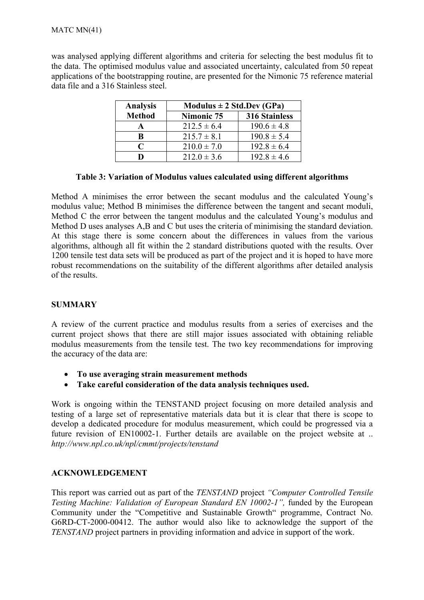was analysed applying different algorithms and criteria for selecting the best modulus fit to the data. The optimised modulus value and associated uncertainty, calculated from 50 repeat applications of the bootstrapping routine, are presented for the Nimonic 75 reference material data file and a 316 Stainless steel.

| <b>Analysis</b> | Modulus $\pm 2$ Std.Dev (GPa) |                      |  |
|-----------------|-------------------------------|----------------------|--|
| <b>Method</b>   | Nimonic 75                    | <b>316 Stainless</b> |  |
|                 | $212.5 \pm 6.4$               | $190.6 \pm 4.8$      |  |
| B               | $215.7 \pm 8.1$               | $190.8 \pm 5.4$      |  |
| C               | $210.0 \pm 7.0$               | $192.8 \pm 6.4$      |  |
|                 | $212.0 \pm 3.6$               | $192.8 \pm 4.6$      |  |

## **Table 3: Variation of Modulus values calculated using different algorithms**

Method A minimises the error between the secant modulus and the calculated Young's modulus value; Method B minimises the difference between the tangent and secant moduli, Method C the error between the tangent modulus and the calculated Young's modulus and Method D uses analyses A,B and C but uses the criteria of minimising the standard deviation. At this stage there is some concern about the differences in values from the various algorithms, although all fit within the 2 standard distributions quoted with the results. Over 1200 tensile test data sets will be produced as part of the project and it is hoped to have more robust recommendations on the suitability of the different algorithms after detailed analysis of the results.

## **SUMMARY**

A review of the current practice and modulus results from a series of exercises and the current project shows that there are still major issues associated with obtaining reliable modulus measurements from the tensile test. The two key recommendations for improving the accuracy of the data are:

- **To use averaging strain measurement methods**
- **Take careful consideration of the data analysis techniques used.**

Work is ongoing within the TENSTAND project focusing on more detailed analysis and testing of a large set of representative materials data but it is clear that there is scope to develop a dedicated procedure for modulus measurement, which could be progressed via a future revision of EN10002-1. Further details are available on the project website at .. *http://www.npl.co.uk/npl/cmmt/projects/tenstand*

## **ACKNOWLEDGEMENT**

This report was carried out as part of the *TENSTAND* project *"Computer Controlled Tensile Testing Machine: Validation of European Standard EN 10002-1",* funded by the European Community under the "Competitive and Sustainable Growth" programme, Contract No. G6RD-CT-2000-00412. The author would also like to acknowledge the support of the *TENSTAND* project partners in providing information and advice in support of the work.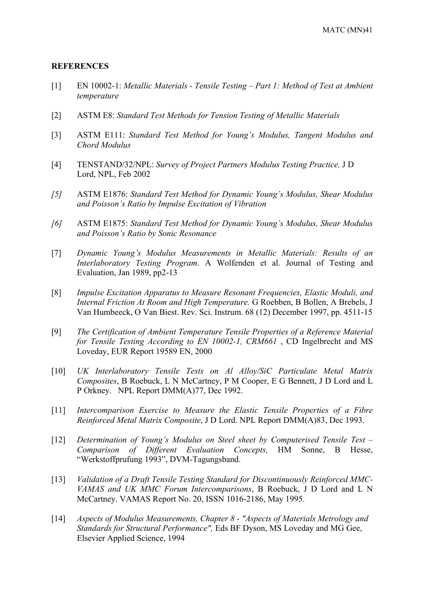#### **REFERENCES**

- [1] EN 10002-1: *Metallic Materials Tensile Testing Part 1: Method of Test at Ambient temperature*
- [2] ASTM E8: *Standard Test Methods for Tension Testing of Metallic Materials*
- [3] ASTM E111: *Standard Test Method for Young's Modulus, Tangent Modulus and Chord Modulus*
- [4] TENSTAND/32/NPL: *Survey of Project Partners Modulus Testing Practice,* J D Lord, NPL, Feb 2002
- *[5]* ASTM E1876: *Standard Test Method for Dynamic Young's Modulus, Shear Modulus and Poisson's Ratio by Impulse Excitation of Vibration*
- *[6]* ASTM E1875: *Standard Test Method for Dynamic Young's Modulus, Shear Modulus and Poisson's Ratio by Sonic Resonance*
- [7] *Dynamic Young's Modulus Measurements in Metallic Materials: Results of an Interlaboratory Testing Program*. A Wolfenden et al. Journal of Testing and Evaluation, Jan 1989, pp2-13
- [8] *Impulse Excitation Apparatus to Measure Resonant Frequencies, Elastic Moduli, and Internal Friction At Room and High Temperature.* G Roebben, B Bollen, A Brebels, J Van Humbeeck, O Van Biest. Rev. Sci. Instrum. 68 (12) December 1997, pp. 4511-15
- [9] *The Certification of Ambient Temperature Tensile Properties of a Reference Material for Tensile Testing According to EN 10002-1, CRM661* , CD Ingelbrecht and MS Loveday, EUR Report 19589 EN, 2000
- [10] *UK Interlaboratory Tensile Tests on Al Alloy/SiC Particulate Metal Matrix Composites*, B Roebuck, L N McCartney, P M Cooper, E G Bennett, J D Lord and L P Orkney. NPL Report DMM(A)77, Dec 1992.
- [11] *Intercomparison Exercise to Measure the Elastic Tensile Properties of a Fibre Reinforced Metal Matrix Composite*, J D Lord. NPL Report DMM(A)83, Dec 1993.
- [12] *Determination of Young's Modulus on Steel sheet by Computerised Tensile Test Comparison of Different Evaluation Concepts,* HM Sonne, B Hesse, "Werkstoffprufung 1993", DVM-Tagungsband.
- [13] *Validation of a Draft Tensile Testing Standard for Discontinuously Reinforced MMC-VAMAS and UK MMC Forum Intercomparisons*, B Roebuck, J D Lord and L N McCartney. VAMAS Report No. 20, ISSN 1016-2186, May 1995.
- [14] *Aspects of Modulus Measurements, Chapter 8 "Aspects of Materials Metrology and Standards for Structural Performance",* Eds BF Dyson, MS Loveday and MG Gee, Elsevier Applied Science, 1994